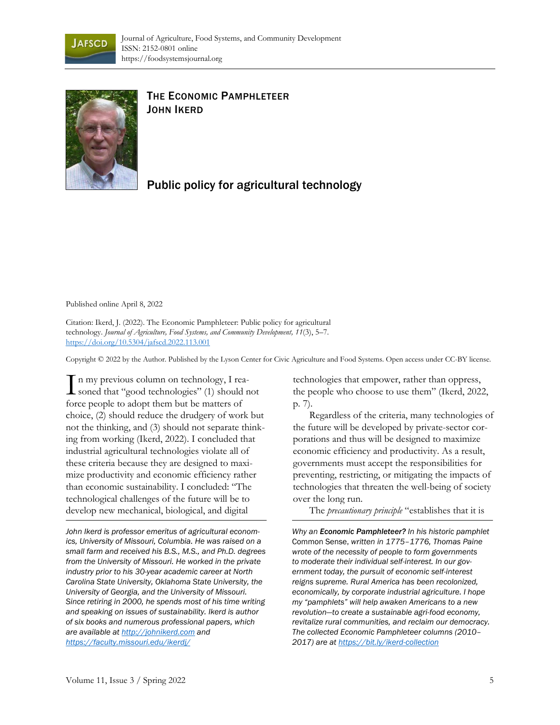



## THE ECONOMIC PAMPHLETEER JOHN IKERD

Public policy for agricultural technology

Published online April 8, 2022

Citation: Ikerd, J. (2022). The Economic Pamphleteer: Public policy for agricultural technology. *Journal of Agriculture, Food Systems, and Community Development, 11*(3), 5–7. https://doi.org/1[0.5304/jafscd.2022.113.001](https://doi.org/10.5304/jafscd.2022.113.001)

Copyright © 2022 by the Author. Published by the Lyson Center for Civic Agriculture and Food Systems. Open access under CC-BY license.

In my previous column on technology, I rea-In my previous column on technology, I rea-<br>soned that "good technologies" (1) should not force people to adopt them but be matters of choice, (2) should reduce the drudgery of work but not the thinking, and (3) should not separate thinking from working (Ikerd, 2022). I concluded that industrial agricultural technologies violate all of these criteria because they are designed to maximize productivity and economic efficiency rather than economic sustainability. I concluded: "The technological challenges of the future will be to develop new mechanical, biological, and digital

*John Ikerd is professor emeritus of agricultural economics, University of Missouri, Columbia. He was raised on a small farm and received his B.S., M.S., and Ph.D. degrees from the University of Missouri. He worked in the private industry prior to his 30-year academic career at North Carolina State University, Oklahoma State University, the University of Georgia, and the University of Missouri. Since retiring in 2000, he spends most of his time writing and speaking on issues of sustainability. Ikerd is author of six books and numerous professional papers, which are available at [http://johnikerd.com](http://johnikerd.com/) and <https://faculty.missouri.edu/ikerdj/>*

technologies that empower, rather than oppress, the people who choose to use them" (Ikerd, 2022, p. 7).

Regardless of the criteria, many technologies of the future will be developed by private-sector corporations and thus will be designed to maximize economic efficiency and productivity. As a result, governments must accept the responsibilities for preventing, restricting, or mitigating the impacts of technologies that threaten the well-being of society over the long run.

The *precautionary principle* "establishes that it is

*Why an Economic Pamphleteer? In his historic pamphlet*  Common Sense, *written in 1775–1776, Thomas Paine wrote of the necessity of people to form governments to moderate their individual self-interest. In our government today, the pursuit of economic self-interest reigns supreme. Rural America has been recolonized, economically, by corporate industrial agriculture. I hope my "pamphlets" will help awaken Americans to a new revolution—to create a sustainable agri-food economy, revitalize rural communities, and reclaim our democracy. The collected Economic Pamphleteer columns (2010– 2017) are at<https://bit.ly/ikerd-collection>*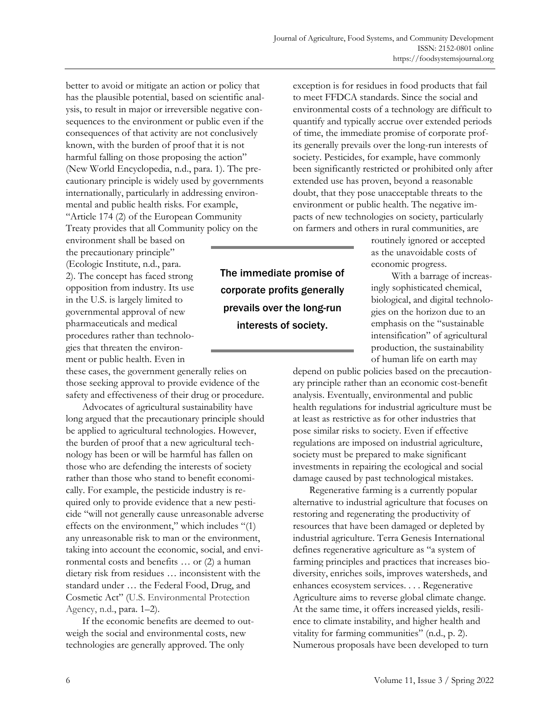better to avoid or mitigate an action or policy that has the plausible potential, based on scientific analysis, to result in major or irreversible negative consequences to the environment or public even if the consequences of that activity are not conclusively known, with the burden of proof that it is not harmful falling on those proposing the action" (New World Encyclopedia, n.d., para. 1). The precautionary principle is widely used by governments internationally, particularly in addressing environmental and public health risks. For example, "Article 174 (2) of the European Community Treaty provides that all Community policy on the

environment shall be based on the precautionary principle" (Ecologic Institute, n.d., para. 2). The concept has faced strong opposition from industry. Its use in the U.S. is largely limited to governmental approval of new pharmaceuticals and medical procedures rather than technologies that threaten the environment or public health. Even in

these cases, the government generally relies on those seeking approval to provide evidence of the safety and effectiveness of their drug or procedure.

Advocates of agricultural sustainability have long argued that the precautionary principle should be applied to agricultural technologies. However, the burden of proof that a new agricultural technology has been or will be harmful has fallen on those who are defending the interests of society rather than those who stand to benefit economically. For example, the pesticide industry is required only to provide evidence that a new pesticide "will not generally cause unreasonable adverse effects on the environment," which includes "(1) any unreasonable risk to man or the environment, taking into account the economic, social, and environmental costs and benefits … or (2) a human dietary risk from residues … inconsistent with the standard under … the Federal Food, Drug, and Cosmetic Act" (U.S. Environmental Protection Agency, n.d., para. 1–2).

If the economic benefits are deemed to outweigh the social and environmental costs, new technologies are generally approved. The only

The immediate promise of corporate profits generally prevails over the long-run interests of society.

exception is for residues in food products that fail to meet FFDCA standards. Since the social and environmental costs of a technology are difficult to quantify and typically accrue over extended periods of time, the immediate promise of corporate profits generally prevails over the long-run interests of society. Pesticides, for example, have commonly been significantly restricted or prohibited only after extended use has proven, beyond a reasonable doubt, that they pose unacceptable threats to the environment or public health. The negative impacts of new technologies on society, particularly on farmers and others in rural communities, are

> routinely ignored or accepted as the unavoidable costs of economic progress.

With a barrage of increasingly sophisticated chemical, biological, and digital technologies on the horizon due to an emphasis on the "sustainable intensification" of agricultural production, the sustainability of human life on earth may

depend on public policies based on the precautionary principle rather than an economic cost-benefit analysis. Eventually, environmental and public health regulations for industrial agriculture must be at least as restrictive as for other industries that pose similar risks to society. Even if effective regulations are imposed on industrial agriculture, society must be prepared to make significant investments in repairing the ecological and social damage caused by past technological mistakes.

Regenerative farming is a currently popular alternative to industrial agriculture that focuses on restoring and regenerating the productivity of resources that have been damaged or depleted by industrial agriculture. Terra Genesis International defines regenerative agriculture as "a system of farming principles and practices that increases biodiversity, enriches soils, improves watersheds, and enhances ecosystem services. . . . Regenerative Agriculture aims to reverse global climate change. At the same time, it offers increased yields, resilience to climate instability, and higher health and vitality for farming communities" (n.d., p. 2). Numerous proposals have been developed to turn